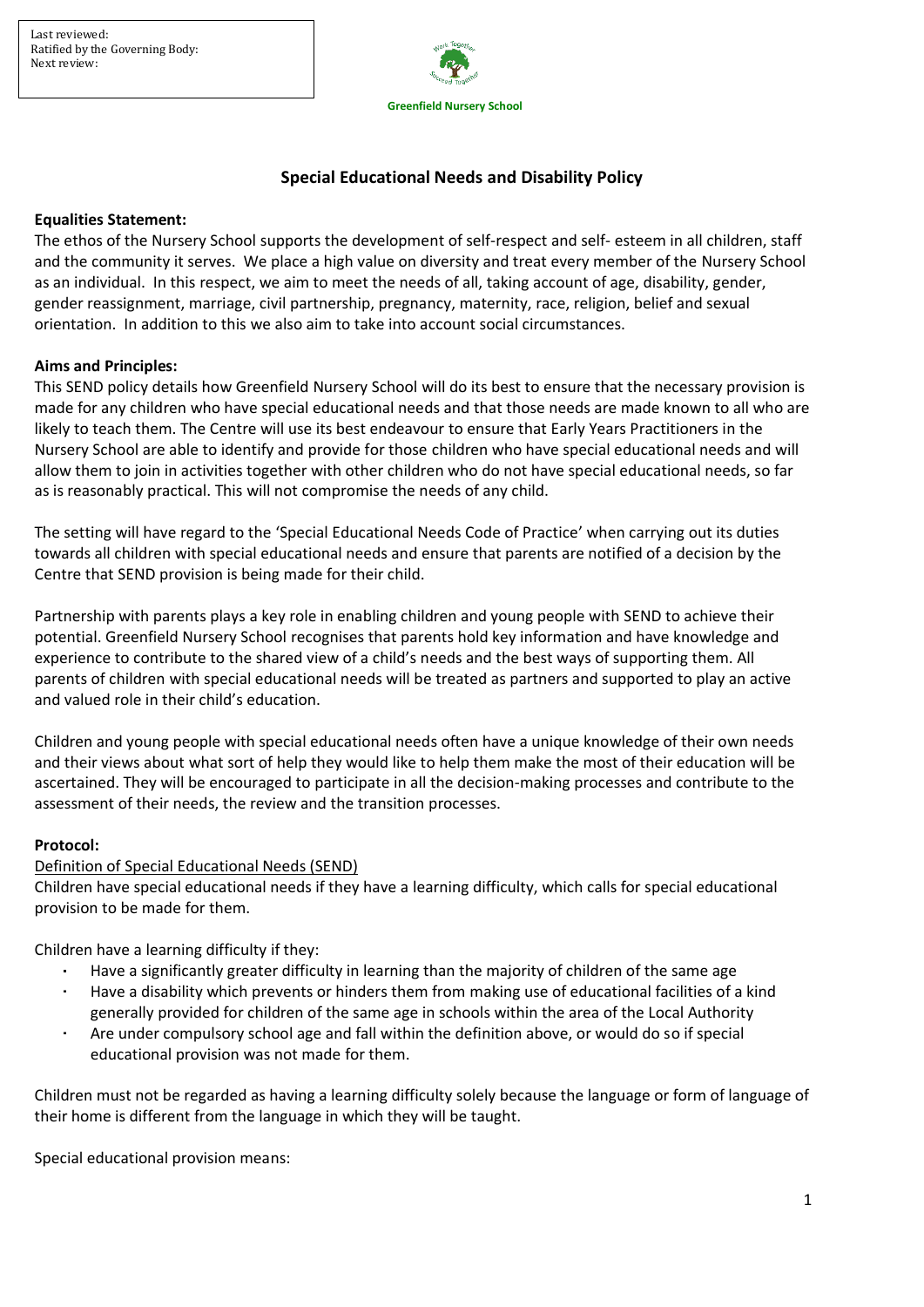

# **Special Educational Needs and Disability Policy**

#### **Equalities Statement:**

The ethos of the Nursery School supports the development of self-respect and self- esteem in all children, staff and the community it serves. We place a high value on diversity and treat every member of the Nursery School as an individual. In this respect, we aim to meet the needs of all, taking account of age, disability, gender, gender reassignment, marriage, civil partnership, pregnancy, maternity, race, religion, belief and sexual orientation. In addition to this we also aim to take into account social circumstances.

#### **Aims and Principles:**

This SEND policy details how Greenfield Nursery School will do its best to ensure that the necessary provision is made for any children who have special educational needs and that those needs are made known to all who are likely to teach them. The Centre will use its best endeavour to ensure that Early Years Practitioners in the Nursery School are able to identify and provide for those children who have special educational needs and will allow them to join in activities together with other children who do not have special educational needs, so far as is reasonably practical. This will not compromise the needs of any child.

The setting will have regard to the 'Special Educational Needs Code of Practice' when carrying out its duties towards all children with special educational needs and ensure that parents are notified of a decision by the Centre that SEND provision is being made for their child.

Partnership with parents plays a key role in enabling children and young people with SEND to achieve their potential. Greenfield Nursery School recognises that parents hold key information and have knowledge and experience to contribute to the shared view of a child's needs and the best ways of supporting them. All parents of children with special educational needs will be treated as partners and supported to play an active and valued role in their child's education.

Children and young people with special educational needs often have a unique knowledge of their own needs and their views about what sort of help they would like to help them make the most of their education will be ascertained. They will be encouraged to participate in all the decision-making processes and contribute to the assessment of their needs, the review and the transition processes.

#### **Protocol:**

#### Definition of Special Educational Needs (SEND)

Children have special educational needs if they have a learning difficulty, which calls for special educational provision to be made for them.

Children have a learning difficulty if they:

- $\mathbf{r}$ Have a significantly greater difficulty in learning than the majority of children of the same age
- Have a disability which prevents or hinders them from making use of educational facilities of a kind generally provided for children of the same age in schools within the area of the Local Authority
- Are under compulsory school age and fall within the definition above, or would do so if special educational provision was not made for them.

Children must not be regarded as having a learning difficulty solely because the language or form of language of their home is different from the language in which they will be taught.

Special educational provision means: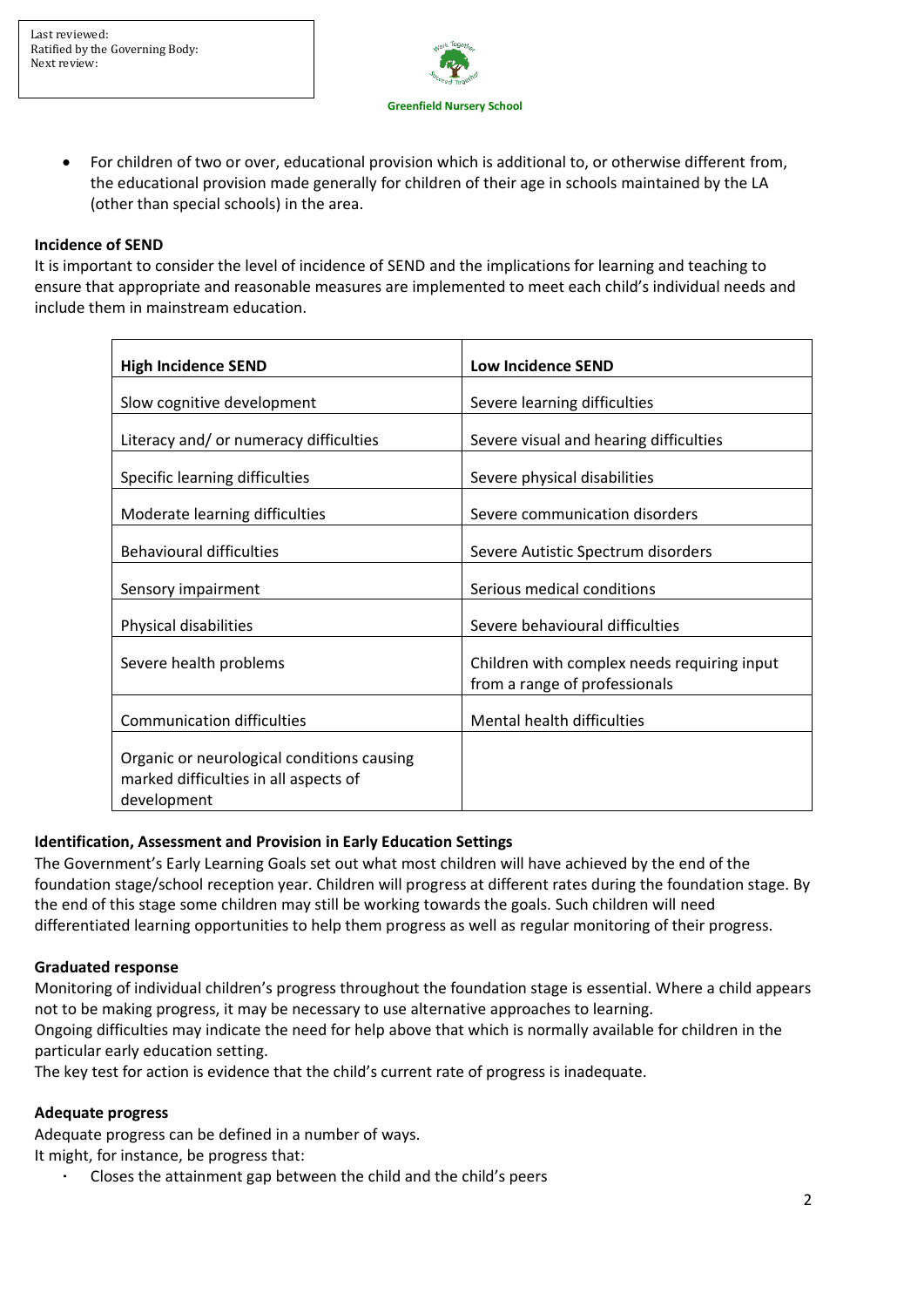

• For children of two or over, educational provision which is additional to, or otherwise different from, the educational provision made generally for children of their age in schools maintained by the LA (other than special schools) in the area.

#### **Incidence of SEND**

It is important to consider the level of incidence of SEND and the implications for learning and teaching to ensure that appropriate and reasonable measures are implemented to meet each child's individual needs and include them in mainstream education.

| <b>High Incidence SEND</b>                                                                         | <b>Low Incidence SEND</b>                                                    |
|----------------------------------------------------------------------------------------------------|------------------------------------------------------------------------------|
| Slow cognitive development                                                                         | Severe learning difficulties                                                 |
| Literacy and/or numeracy difficulties                                                              | Severe visual and hearing difficulties                                       |
| Specific learning difficulties                                                                     | Severe physical disabilities                                                 |
| Moderate learning difficulties                                                                     | Severe communication disorders                                               |
| <b>Behavioural difficulties</b>                                                                    | Severe Autistic Spectrum disorders                                           |
| Sensory impairment                                                                                 | Serious medical conditions                                                   |
| Physical disabilities                                                                              | Severe behavioural difficulties                                              |
| Severe health problems                                                                             | Children with complex needs requiring input<br>from a range of professionals |
| <b>Communication difficulties</b>                                                                  | Mental health difficulties                                                   |
| Organic or neurological conditions causing<br>marked difficulties in all aspects of<br>development |                                                                              |

#### **Identification, Assessment and Provision in Early Education Settings**

The Government's Early Learning Goals set out what most children will have achieved by the end of the foundation stage/school reception year. Children will progress at different rates during the foundation stage. By the end of this stage some children may still be working towards the goals. Such children will need differentiated learning opportunities to help them progress as well as regular monitoring of their progress.

#### **Graduated response**

Monitoring of individual children's progress throughout the foundation stage is essential. Where a child appears not to be making progress, it may be necessary to use alternative approaches to learning.

Ongoing difficulties may indicate the need for help above that which is normally available for children in the particular early education setting.

The key test for action is evidence that the child's current rate of progress is inadequate.

#### **Adequate progress**

Adequate progress can be defined in a number of ways.

It might, for instance, be progress that:

Closes the attainment gap between the child and the child's peers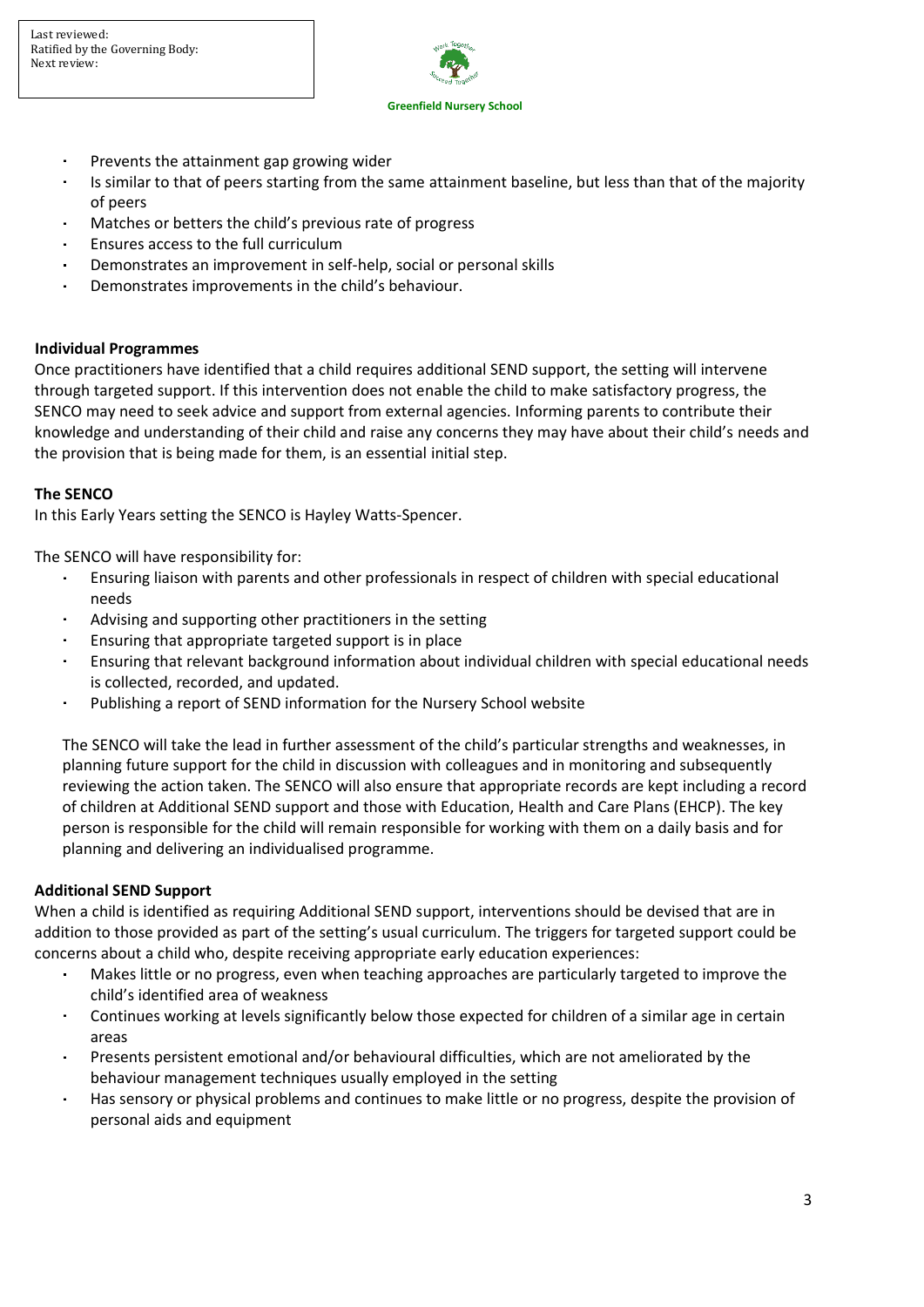

- Prevents the attainment gap growing wider
- Is similar to that of peers starting from the same attainment baseline, but less than that of the majority ä, of peers
- Matches or betters the child's previous rate of progress
- Ensures access to the full curriculum
- Demonstrates an improvement in self-help, social or personal skills
- Demonstrates improvements in the child's behaviour. ×

#### **Individual Programmes**

Once practitioners have identified that a child requires additional SEND support, the setting will intervene through targeted support. If this intervention does not enable the child to make satisfactory progress, the SENCO may need to seek advice and support from external agencies. Informing parents to contribute their knowledge and understanding of their child and raise any concerns they may have about their child's needs and the provision that is being made for them, is an essential initial step.

#### **The SENCO**

In this Early Years setting the SENCO is Hayley Watts-Spencer.

The SENCO will have responsibility for:

- Ensuring liaison with parents and other professionals in respect of children with special educational  $\mathbf{r}$  . needs
- Advising and supporting other practitioners in the setting
- $\mathbf{r}$ Ensuring that appropriate targeted support is in place
- Ensuring that relevant background information about individual children with special educational needs is collected, recorded, and updated.
- Publishing a report of SEND information for the Nursery School website

The SENCO will take the lead in further assessment of the child's particular strengths and weaknesses, in planning future support for the child in discussion with colleagues and in monitoring and subsequently reviewing the action taken. The SENCO will also ensure that appropriate records are kept including a record of children at Additional SEND support and those with Education, Health and Care Plans (EHCP). The key person is responsible for the child will remain responsible for working with them on a daily basis and for planning and delivering an individualised programme.

#### **Additional SEND Support**

When a child is identified as requiring Additional SEND support, interventions should be devised that are in addition to those provided as part of the setting's usual curriculum. The triggers for targeted support could be concerns about a child who, despite receiving appropriate early education experiences:

- Makes little or no progress, even when teaching approaches are particularly targeted to improve the child's identified area of weakness
- Continues working at levels significantly below those expected for children of a similar age in certain areas
- Presents persistent emotional and/or behavioural difficulties, which are not ameliorated by the  $\mathbf{r}$  . behaviour management techniques usually employed in the setting
- Has sensory or physical problems and continues to make little or no progress, despite the provision of personal aids and equipment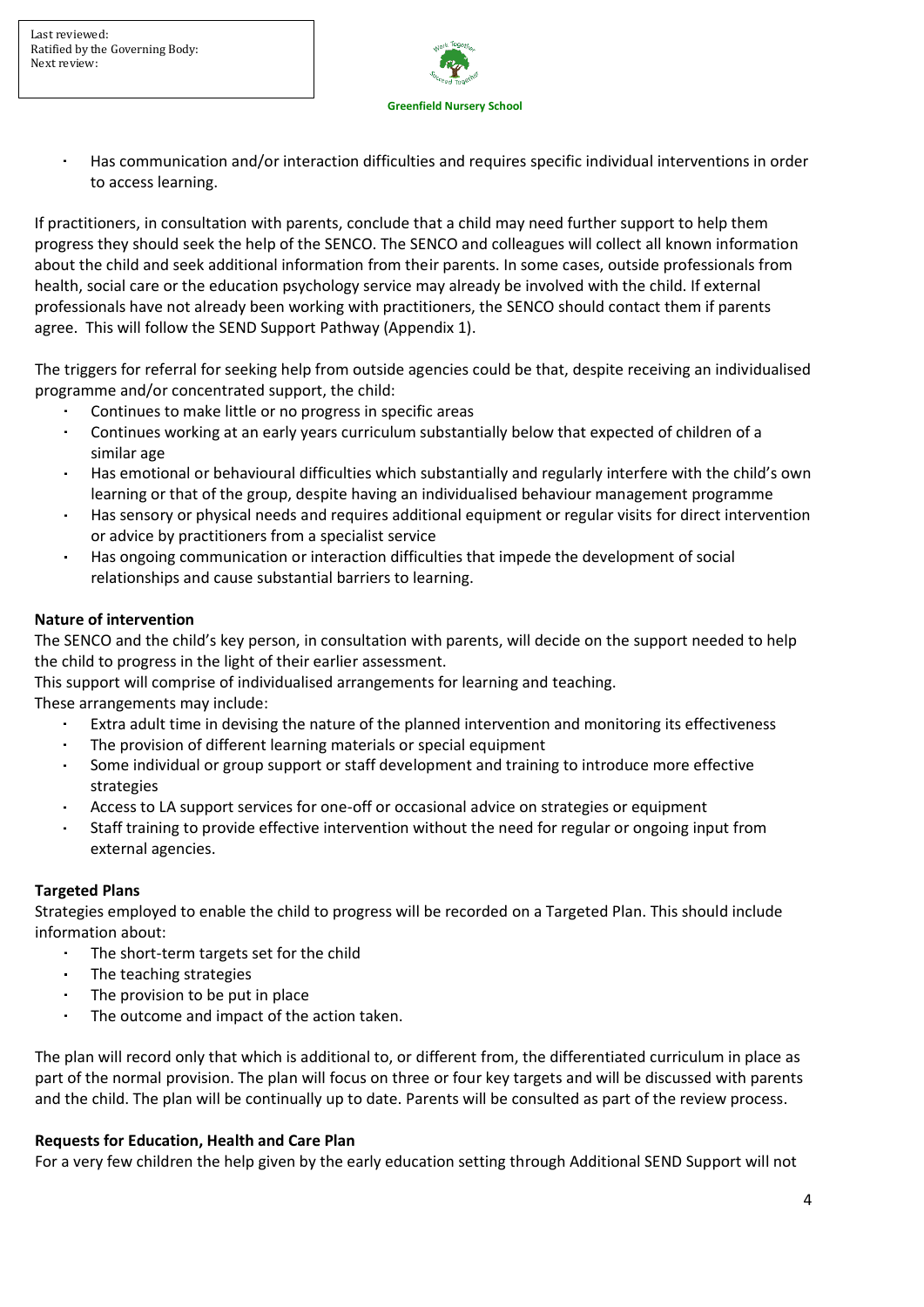

Has communication and/or interaction difficulties and requires specific individual interventions in order to access learning.

If practitioners, in consultation with parents, conclude that a child may need further support to help them progress they should seek the help of the SENCO. The SENCO and colleagues will collect all known information about the child and seek additional information from their parents. In some cases, outside professionals from health, social care or the education psychology service may already be involved with the child. If external professionals have not already been working with practitioners, the SENCO should contact them if parents agree. This will follow the SEND Support Pathway (Appendix 1).

The triggers for referral for seeking help from outside agencies could be that, despite receiving an individualised programme and/or concentrated support, the child:

- Continues to make little or no progress in specific areas
- Continues working at an early years curriculum substantially below that expected of children of a similar age
- Has emotional or behavioural difficulties which substantially and regularly interfere with the child's own learning or that of the group, despite having an individualised behaviour management programme
- Has sensory or physical needs and requires additional equipment or regular visits for direct intervention or advice by practitioners from a specialist service
- Has ongoing communication or interaction difficulties that impede the development of social relationships and cause substantial barriers to learning.

### **Nature of intervention**

The SENCO and the child's key person, in consultation with parents, will decide on the support needed to help the child to progress in the light of their earlier assessment.

This support will comprise of individualised arrangements for learning and teaching.

These arrangements may include:

- Extra adult time in devising the nature of the planned intervention and monitoring its effectiveness
- $\mathbf{r}$ The provision of different learning materials or special equipment
- Some individual or group support or staff development and training to introduce more effective strategies
- Access to LA support services for one-off or occasional advice on strategies or equipment
- Staff training to provide effective intervention without the need for regular or ongoing input from external agencies.

#### **Targeted Plans**

Strategies employed to enable the child to progress will be recorded on a Targeted Plan. This should include information about:

- $\sim$ The short-term targets set for the child
- The teaching strategies
- The provision to be put in place
- $\blacksquare$ The outcome and impact of the action taken.

The plan will record only that which is additional to, or different from, the differentiated curriculum in place as part of the normal provision. The plan will focus on three or four key targets and will be discussed with parents and the child. The plan will be continually up to date. Parents will be consulted as part of the review process.

#### **Requests for Education, Health and Care Plan**

For a very few children the help given by the early education setting through Additional SEND Support will not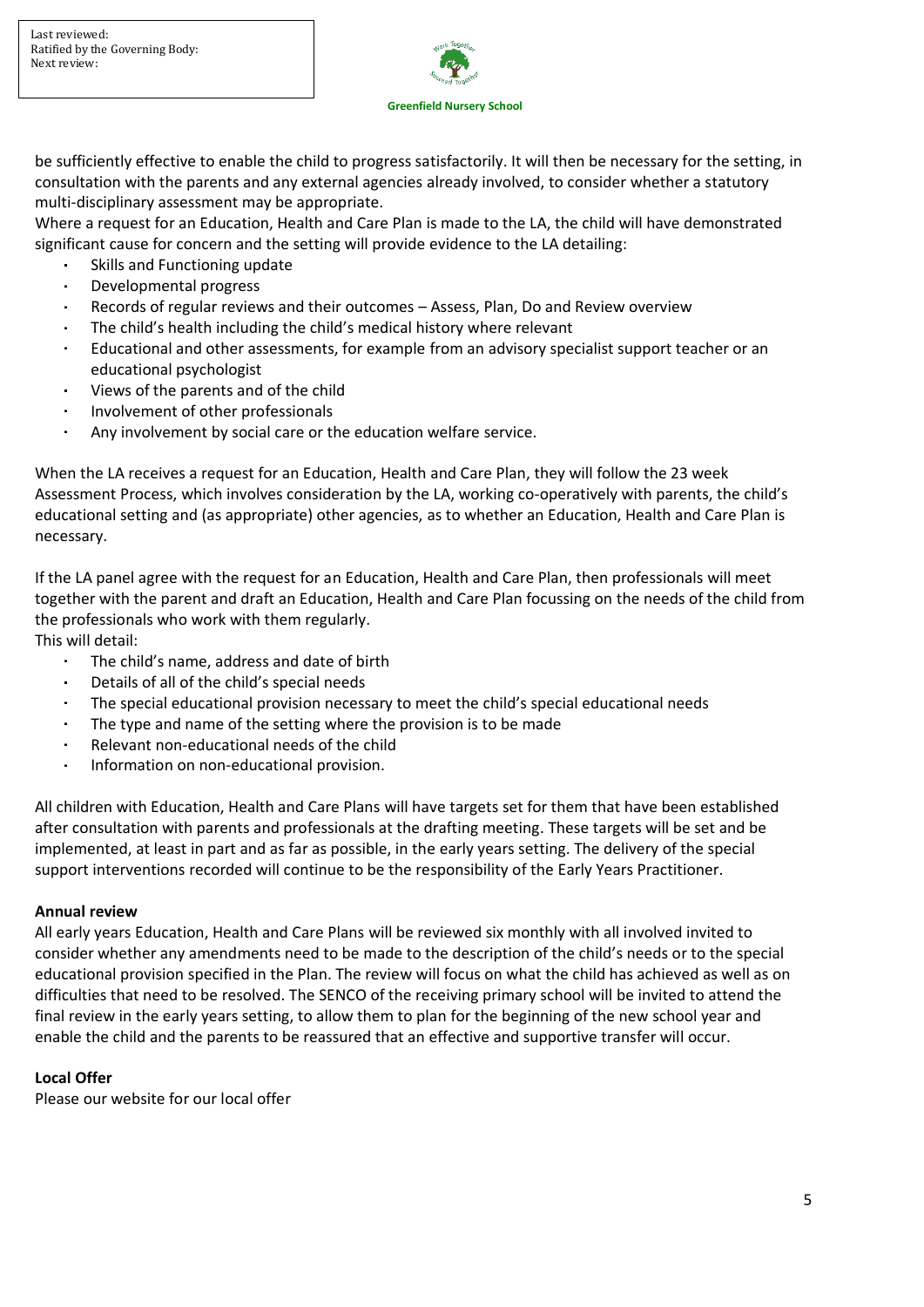

be sufficiently effective to enable the child to progress satisfactorily. It will then be necessary for the setting, in consultation with the parents and any external agencies already involved, to consider whether a statutory multi-disciplinary assessment may be appropriate.

Where a request for an Education, Health and Care Plan is made to the LA, the child will have demonstrated significant cause for concern and the setting will provide evidence to the LA detailing:

- Skills and Functioning update
- Developmental progress
- Records of regular reviews and their outcomes Assess, Plan, Do and Review overview
- The child's health including the child's medical history where relevant
- Educational and other assessments, for example from an advisory specialist support teacher or an educational psychologist
- Views of the parents and of the child
- Involvement of other professionals  $\sim$
- l. Any involvement by social care or the education welfare service.

When the LA receives a request for an Education, Health and Care Plan, they will follow the 23 week Assessment Process, which involves consideration by the LA, working co-operatively with parents, the child's educational setting and (as appropriate) other agencies, as to whether an Education, Health and Care Plan is necessary.

If the LA panel agree with the request for an Education, Health and Care Plan, then professionals will meet together with the parent and draft an Education, Health and Care Plan focussing on the needs of the child from the professionals who work with them regularly.

This will detail:

- The child's name, address and date of birth
- $\mathbf{r}$ Details of all of the child's special needs
- The special educational provision necessary to meet the child's special educational needs
- The type and name of the setting where the provision is to be made
- $\bullet$ Relevant non-educational needs of the child
- Information on non-educational provision.

All children with Education, Health and Care Plans will have targets set for them that have been established after consultation with parents and professionals at the drafting meeting. These targets will be set and be implemented, at least in part and as far as possible, in the early years setting. The delivery of the special support interventions recorded will continue to be the responsibility of the Early Years Practitioner.

#### **Annual review**

All early years Education, Health and Care Plans will be reviewed six monthly with all involved invited to consider whether any amendments need to be made to the description of the child's needs or to the special educational provision specified in the Plan. The review will focus on what the child has achieved as well as on difficulties that need to be resolved. The SENCO of the receiving primary school will be invited to attend the final review in the early years setting, to allow them to plan for the beginning of the new school year and enable the child and the parents to be reassured that an effective and supportive transfer will occur.

#### **Local Offer**

Please our website for our local offer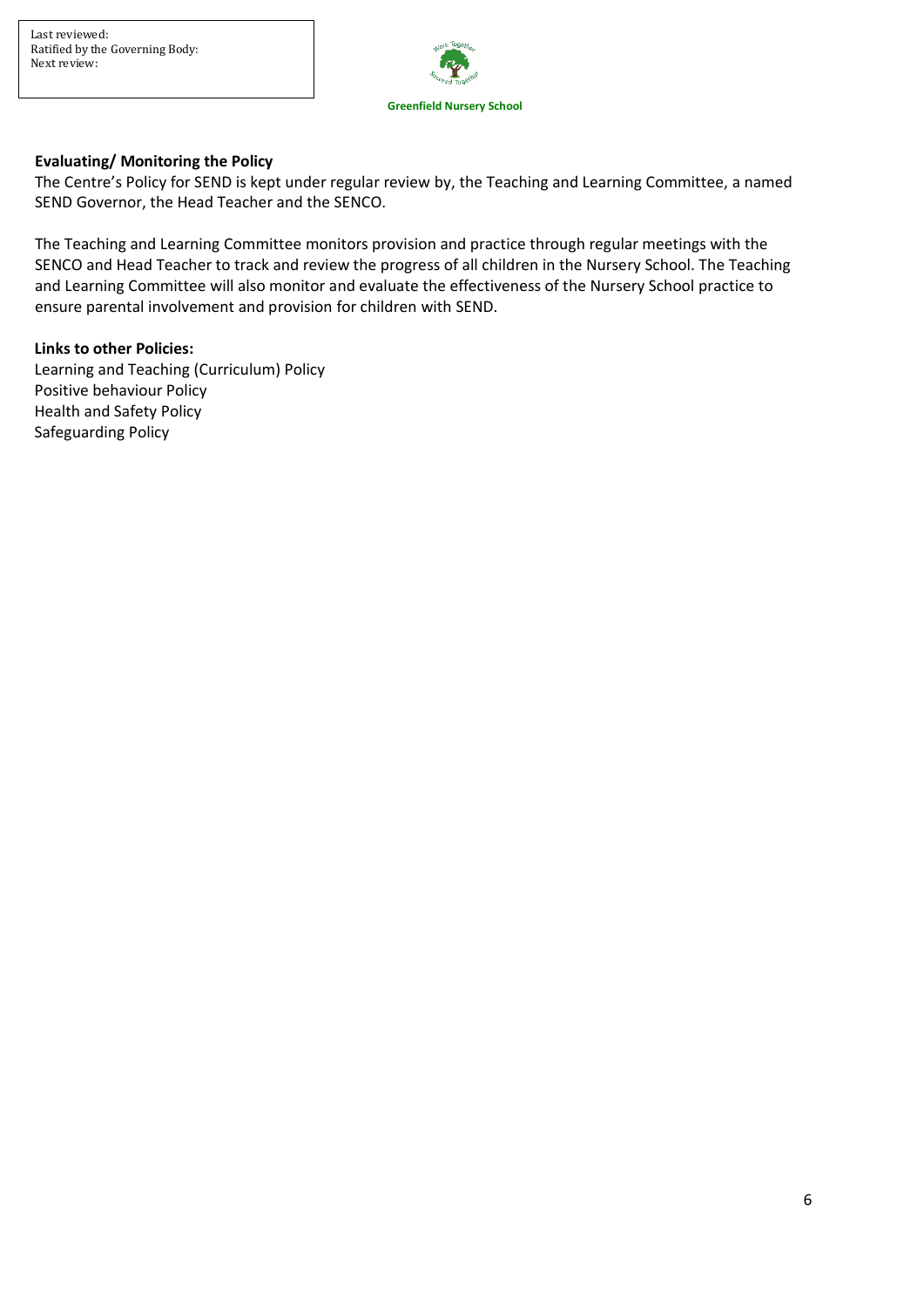

## **Evaluating/ Monitoring the Policy**

The Centre's Policy for SEND is kept under regular review by, the Teaching and Learning Committee, a named SEND Governor, the Head Teacher and the SENCO.

The Teaching and Learning Committee monitors provision and practice through regular meetings with the SENCO and Head Teacher to track and review the progress of all children in the Nursery School. The Teaching and Learning Committee will also monitor and evaluate the effectiveness of the Nursery School practice to ensure parental involvement and provision for children with SEND.

#### **Links to other Policies:**

Learning and Teaching (Curriculum) Policy Positive behaviour Policy Health and Safety Policy Safeguarding Policy